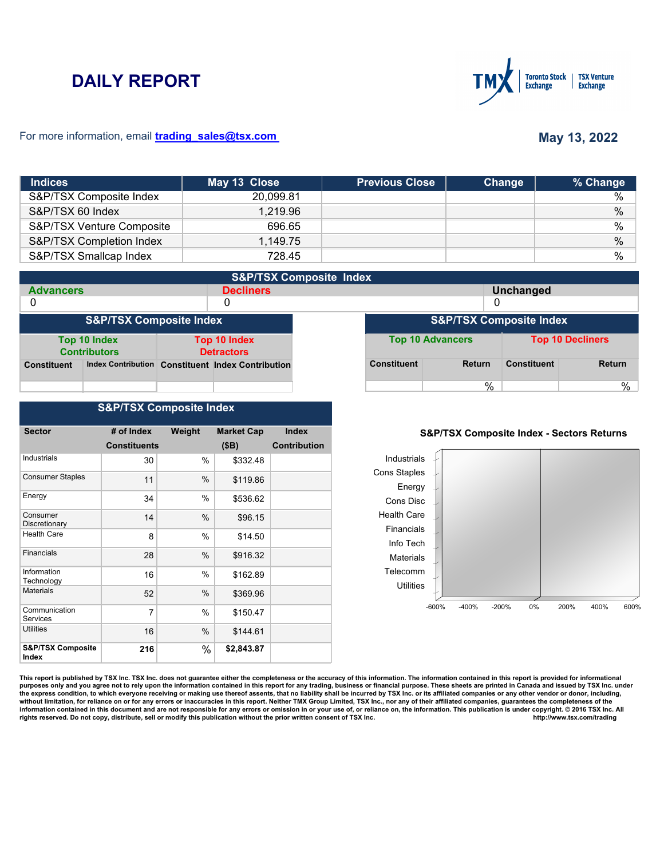# **DAILY REPORT**



### For more information, email **trading\_sales@tsx.com**

# **May 13, 2022**

| <b>Indices</b>            | May 13 Close | <b>Previous Close</b> | Change | % Change      |
|---------------------------|--------------|-----------------------|--------|---------------|
| S&P/TSX Composite Index   | 20.099.81    |                       |        | $\%$          |
| S&P/TSX 60 Index          | 1.219.96     |                       |        | $\%$          |
| S&P/TSX Venture Composite | 696.65       |                       |        | %             |
| S&P/TSX Completion Index  | 1,149.75     |                       |        | $\%$          |
| S&P/TSX Smallcap Index    | 728.45       |                       |        | $\frac{0}{0}$ |

| <b>S&amp;P/TSX Composite Index</b>                                       |  |  |                                                   |                                    |                    |                         |                    |               |
|--------------------------------------------------------------------------|--|--|---------------------------------------------------|------------------------------------|--------------------|-------------------------|--------------------|---------------|
| <b>Advancers</b>                                                         |  |  | <b>Decliners</b>                                  |                                    |                    |                         | <b>Unchanged</b>   |               |
| 0                                                                        |  |  | 0                                                 |                                    | 0                  |                         |                    |               |
| <b>S&amp;P/TSX Composite Index</b>                                       |  |  |                                                   | <b>S&amp;P/TSX Composite Index</b> |                    |                         |                    |               |
| Top 10 Index<br>Top 10 Index<br><b>Contributors</b><br><b>Detractors</b> |  |  |                                                   | <b>Top 10 Advancers</b>            |                    | <b>Top 10 Decliners</b> |                    |               |
| <b>Constituent</b>                                                       |  |  | Index Contribution Constituent Index Contribution |                                    | <b>Constituent</b> | <b>Return</b>           | <b>Constituent</b> | <b>Return</b> |
|                                                                          |  |  |                                                   |                                    |                    | %                       |                    | %             |

## **S&P/TSX Composite Index**

| <b>Sector</b>                         | # of Index          | Weight | <b>Market Cap</b> | <b>Index</b>        |
|---------------------------------------|---------------------|--------|-------------------|---------------------|
|                                       | <b>Constituents</b> |        | (SB)              | <b>Contribution</b> |
| <b>Industrials</b>                    | 30                  | %      | \$332.48          |                     |
| <b>Consumer Staples</b>               | 11                  | $\%$   | \$119.86          |                     |
| Energy                                | 34                  | $\%$   | \$536.62          |                     |
| Consumer<br>Discretionary             | 14                  | $\%$   | \$96.15           |                     |
| <b>Health Care</b>                    | 8                   | $\%$   | \$14.50           |                     |
| Financials                            | 28                  | $\%$   | \$916.32          |                     |
| Information<br>Technology             | 16                  | $\%$   | \$162.89          |                     |
| <b>Materials</b>                      | 52                  | %      | \$369.96          |                     |
| Communication<br>Services             | 7                   | %      | \$150.47          |                     |
| <b>Utilities</b>                      | 16                  | %      | \$144.61          |                     |
| <b>S&amp;P/TSX Composite</b><br>Index | 216                 | %      | \$2,843.87        |                     |

#### **S&P/TSX Composite Index - Sectors Returns**



This report is published by TSX Inc. TSX Inc. does not guarantee either the completeness or the accuracy of this information. The information contained in this report is provided for informational **purposes only and you agree not to rely upon the information contained in this report for any trading, business or financial purpose. These sheets are printed in Canada and issued by TSX Inc. under**  the express condition, to which everyone receiving or making use thereof assents, that no liability shall be incurred by TSX Inc. or its affiliated companies or any other vendor or donor, including,<br>without limitation, for information contained in this document and are not responsible for any errors or omission in or your use of, or reliance on, the information. This publication is under copyright. © 2016 TSX Inc. All <br>
rights reserved. Do n rights reserved. Do not copy, distribute, sell or modify this publication without the prior written consent of TSX Inc.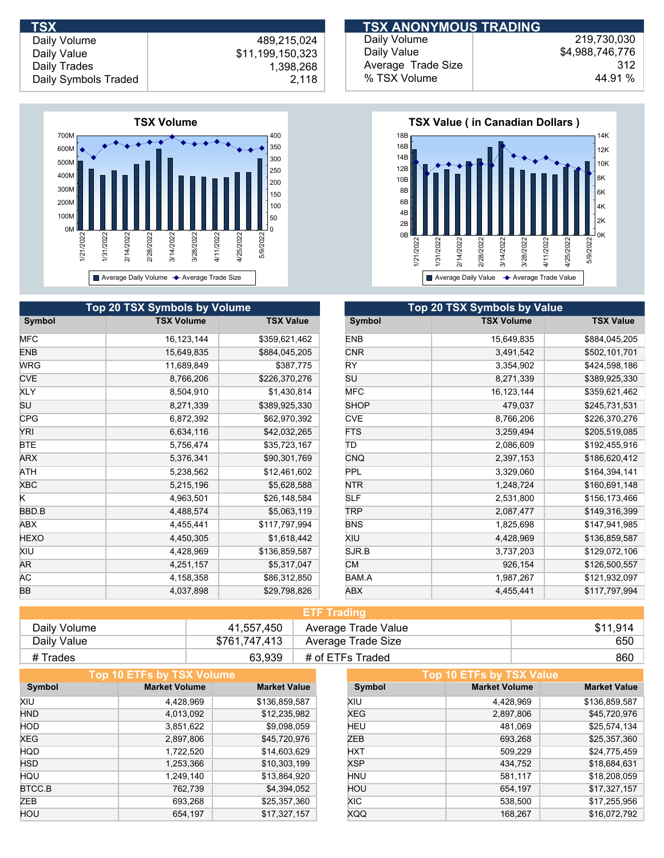**TSX ANONYMOUS TRADING** 

Daily Volume Daily Value Daily Trades

 489,215,024 \$11,199,150,323 1,398,268 Daily Symbols Traded 2,118



| Daily Volume       | 219.730.030     |
|--------------------|-----------------|
| Daily Value        | \$4.988.746.776 |
| Average Trade Size | 312             |
| % TSX Volume       | 44.91 %         |



|            | <b>Top 20 TSX Symbols by Volume</b> |                  |             | Top 20 TSX Symbols by Value |                  |
|------------|-------------------------------------|------------------|-------------|-----------------------------|------------------|
| Symbol     | <b>TSX Volume</b>                   | <b>TSX Value</b> | Symbol      | <b>TSX Volume</b>           | <b>TSX Value</b> |
| MFC        | 16, 123, 144                        | \$359,621,462    | <b>ENB</b>  | 15,649,835                  | \$884,045,205    |
| ENB        | 15,649,835                          | \$884,045,205    | <b>CNR</b>  | 3,491,542                   | \$502,101,701    |
| <b>WRG</b> | 11,689,849                          | \$387,775        | RY          | 3,354,902                   | \$424,598,186    |
| <b>CVE</b> | 8,766,206                           | \$226,370,276    | SU          | 8,271,339                   | \$389,925,330    |
| <b>XLY</b> | 8,504,910                           | \$1,430,814      | <b>MFC</b>  | 16, 123, 144                | \$359,621,462    |
| SU         | 8,271,339                           | \$389,925,330    | <b>SHOP</b> | 479,037                     | \$245,731,531    |
| <b>CPG</b> | 6,872,392                           | \$62,970,392     | <b>CVE</b>  | 8,766,206                   | \$226,370,276    |
| YRI        | 6,634,116                           | \$42,032,265     | <b>FTS</b>  | 3,259,494                   | \$205,519,085    |
| BTE        | 5,756,474                           | \$35,723,167     | ΙTD         | 2,086,609                   | \$192,455,916    |
| ARX        | 5,376,341                           | \$90,301,769     | <b>CNQ</b>  | 2,397,153                   | \$186,620,412    |
| ATH        | 5,238,562                           | \$12,461,602     | <b>PPL</b>  | 3,329,060                   | \$164,394,141    |
| XBC        | 5,215,196                           | \$5,628,588      | <b>NTR</b>  | 1,248,724                   | \$160,691,148    |
| K.         | 4,963,501                           | \$26,148,584     | <b>SLF</b>  | 2,531,800                   | \$156,173,466    |
| BBD.B      | 4,488,574                           | \$5,063,119      | <b>TRP</b>  | 2,087,477                   | \$149,316,399    |
| ABX        | 4,455,441                           | \$117,797,994    | <b>BNS</b>  | 1,825,698                   | \$147,941,985    |
| HEXO       | 4,450,305                           | \$1,618,442      | XIU         | 4,428,969                   | \$136,859,587    |
| XIU        | 4,428,969                           | \$136,859,587    | SJR.B       | 3,737,203                   | \$129,072,106    |
| AR.        | 4,251,157                           | \$5,317,047      | <b>CM</b>   | 926,154                     | \$126,500,557    |
| AС         | 4,158,358                           | \$86,312,850     | BAM.A       | 1,987,267                   | \$121,932,097    |
| ВB         | 4,037,898                           | \$29,798,826     | ABX         | 4,455,441                   | \$117,797,994    |

| <b>ETF Trading</b> |               |                     |          |  |  |
|--------------------|---------------|---------------------|----------|--|--|
| Daily Volume       | 41,557,450    | Average Trade Value | \$11.914 |  |  |
| Daily Value        | \$761,747,413 | Average Trade Size  | 650      |  |  |
| # Trades           | 63,939        | # of ETFs Traded    | 860      |  |  |

|            | Top 10 ETFs by TSX Volume |                     |            | Top 10 ETFs by TSX Value |                     |
|------------|---------------------------|---------------------|------------|--------------------------|---------------------|
| Symbol     | <b>Market Volume</b>      | <b>Market Value</b> | Symbol     | <b>Market Volume</b>     | <b>Market Value</b> |
| XIU        | 4,428,969                 | \$136,859,587       | XIU        | 4,428,969                | \$136,859,587       |
| <b>HND</b> | 4,013,092                 | \$12,235,982        | <b>XEG</b> | 2,897,806                | \$45,720,976        |
| <b>HOD</b> | 3,851,622                 | \$9,098,059         | HEU        | 481,069                  | \$25,574,134        |
| <b>XEG</b> | 2,897,806                 | \$45,720,976        | ZEB        | 693,268                  | \$25,357,360        |
| <b>HQD</b> | 1,722,520                 | \$14,603,629        | <b>HXT</b> | 509,229                  | \$24,775,459        |
| <b>HSD</b> | 1,253,366                 | \$10,303,199        | <b>XSP</b> | 434,752                  | \$18,684,631        |
| <b>HQU</b> | 1,249,140                 | \$13,864,920        | <b>HNU</b> | 581,117                  | \$18,208,059        |
| BTCC.B     | 762,739                   | \$4,394,052         | HOU        | 654,197                  | \$17,327,157        |
| ZEB        | 693,268                   | \$25,357,360        | XIC.       | 538,500                  | \$17,255,956        |
| HOU        | 654,197                   | \$17,327,157        | <b>XQQ</b> | 168.267                  | \$16,072,792        |